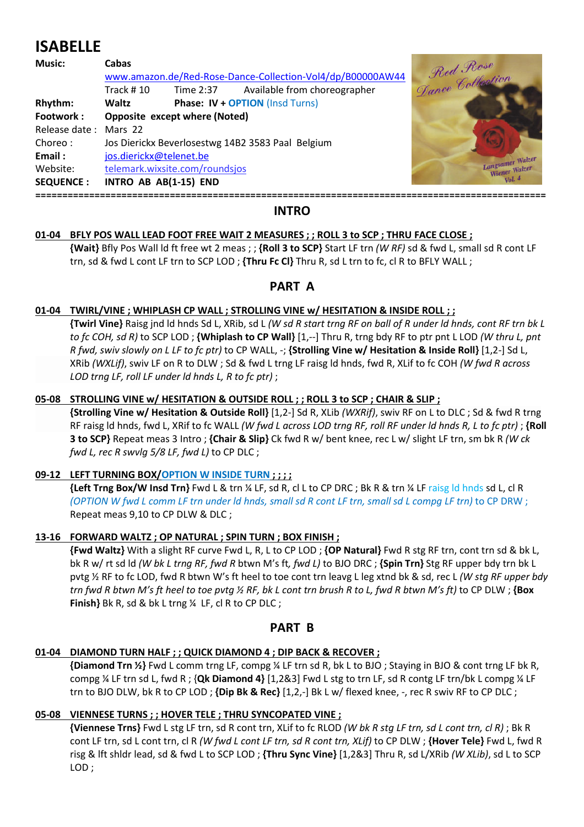# **ISABELLE**

| <b>Music:</b>         | Cabas<br>www.amazon.de/Red-Rose-Dance-Collection-Vol4/dp/B00000AW44 |           |                                        | W44 Red Rose     |
|-----------------------|---------------------------------------------------------------------|-----------|----------------------------------------|------------------|
|                       | Track $#10$                                                         | Time 2:37 | Available from choreographer           |                  |
| Rhythm:               | Waltz                                                               |           | <b>Phase: IV + OPTION (Insd Turns)</b> |                  |
| Footwork:             | Opposite except where (Noted)                                       |           |                                        |                  |
| Release date: Mars 22 |                                                                     |           |                                        |                  |
| Choreo:               | Jos Dierickx Beverlosestwg 14B2 3583 Paal Belgium                   |           |                                        |                  |
| Email:                | jos.dierickx@telenet.be                                             |           |                                        |                  |
| Website:              | telemark.wixsite.com/roundsjos                                      |           |                                        | Langsamer Walzer |
| <b>SEQUENCE:</b>      | INTRO AB AB(1-15) END                                               |           |                                        | Vol.4            |
|                       |                                                                     |           |                                        |                  |

## **INTRO**

## **01-04 BFLY POS WALL LEAD FOOT FREE WAIT 2 MEASURES ; ; ROLL 3 to SCP ; THRU FACE CLOSE ;**

 **{Wait}** Bfly Pos Wall ld ft free wt 2 meas ; ; **{Roll 3 to SCP}** Start LF trn *(W RF)* sd & fwd L, small sd R cont LF trn, sd & fwd L cont LF trn to SCP LOD ; **{Thru Fc Cl}** Thru R, sd L trn to fc, cl R to BFLY WALL ;

## **PART A**

#### **01-04 TWIRL/VINE ; WHIPLASH CP WALL ; STROLLING VINE w/ HESITATION & INSIDE ROLL ; ;**

 **{Twirl Vine}** Raisg jnd ld hnds Sd L, XRib, sd L *(W sd R start trng RF on ball of R under ld hnds, cont RF trn bk L to fc COH, sd R)* to SCP LOD ; **{Whiplash to CP Wall}** [1,--] Thru R, trng bdy RF to ptr pnt L LOD *(W thru L, pnt R fwd, swiv slowly on L LF to fc ptr)* to CP WALL, -; **{Strolling Vine w/ Hesitation & Inside Roll}** [1,2-] Sd L, XRib *(WXLif)*, swiv LF on R to DLW ; Sd & fwd L trng LF raisg ld hnds, fwd R, XLif to fc COH *(W fwd R across LOD trng LF, roll LF under ld hnds L, R to fc ptr)* ;

#### **05-08 STROLLING VINE w/ HESITATION & OUTSIDE ROLL ; ; ROLL 3 to SCP ; CHAIR & SLIP ;**

 **{Strolling Vine w/ Hesitation & Outside Roll}** [1,2-] Sd R, XLib *(WXRif)*, swiv RF on L to DLC ; Sd & fwd R trng RF raisg ld hnds, fwd L, XRif to fc WALL *(W fwd L across LOD trng RF, roll RF under ld hnds R, L to fc ptr)* ; **{Roll 3 to SCP}** Repeat meas 3 Intro ; **{Chair & Slip}** Ck fwd R w/ bent knee, rec L w/ slight LF trn, sm bk R *(W ck fwd L, rec R swvlg 5/8 LF, fwd L)* to CP DLC ;

#### **09-12 LEFT TURNING BOX/OPTION W INSIDE TURN ; ; ; ;**

 **{Left Trng Box/W Insd Trn}** Fwd L & trn ¼ LF, sd R, cl L to CP DRC ; Bk R & trn ¼ LF raisg ld hnds sd L, cl R *(OPTION W fwd L comm LF trn under ld hnds, small sd R cont LF trn, small sd L compg LF trn)* to CP DRW ; Repeat meas 9,10 to CP DLW & DLC ;

#### **13-16 FORWARD WALTZ ; OP NATURAL ; SPIN TURN ; BOX FINISH ;**

 **{Fwd Waltz}** With a slight RF curve Fwd L, R, L to CP LOD ; **{OP Natural}** Fwd R stg RF trn, cont trn sd & bk L, bk R w/ rt sd ld *(W bk L trng RF, fwd R* btwn M's ft*, fwd L)* to BJO DRC ; **{Spin Trn}** Stg RF upper bdy trn bk L pvtg ½ RF to fc LOD, fwd R btwn W's ft heel to toe cont trn leavg L leg xtnd bk & sd, rec L *(W stg RF upper bdy trn fwd R btwn M's ft heel to toe pvtg ½ RF, bk L cont trn brush R to L, fwd R btwn M's ft)* to CP DLW ; **{Box Finish}** Bk R, sd & bk L trng ¼ LF, cl R to CP DLC ;

#### **PART B**

#### **01-04 DIAMOND TURN HALF ; ; QUICK DIAMOND 4 ; DIP BACK & RECOVER ;**

 **{Diamond Trn ½}** Fwd L comm trng LF, compg ¼ LF trn sd R, bk L to BJO ; Staying in BJO & cont trng LF bk R, compg ¼ LF trn sd L, fwd R ; {**Qk Diamond 4}** [1,2&3] Fwd L stg to trn LF, sd R contg LF trn/bk L compg ¼ LF trn to BJO DLW, bk R to CP LOD ; **{Dip Bk & Rec}** [1,2,-] Bk L w/ flexed knee, -, rec R swiv RF to CP DLC ;

#### **05-08 VIENNESE TURNS ; ; HOVER TELE ; THRU SYNCOPATED VINE ;**

 **{Viennese Trns}** Fwd L stg LF trn, sd R cont trn, XLif to fc RLOD *(W bk R stg LF trn, sd L cont trn, cl R)* ; Bk R cont LF trn, sd L cont trn, cl R *(W fwd L cont LF trn, sd R cont trn, XLif)* to CP DLW ; **{Hover Tele}** Fwd L, fwd R risg & lft shldr lead, sd & fwd L to SCP LOD ; **{Thru Sync Vine}** [1,2&3] Thru R, sd L/XRib *(W XLib)*, sd L to SCP LOD ;